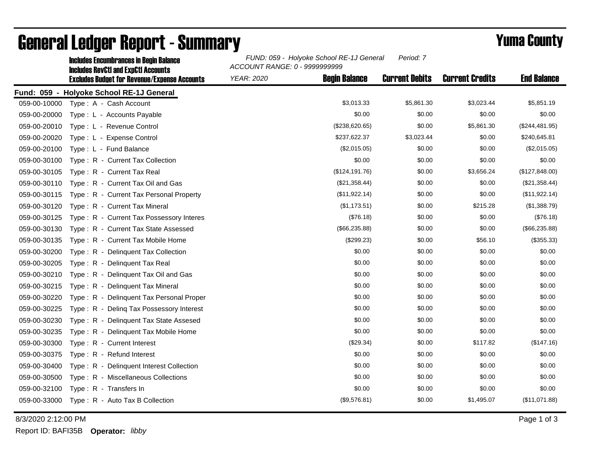|              | <b>Includes Encumbrances in Begin Balance</b><br><b>Includes RevCtI and ExpCtI Accounts</b><br><b>Excludes Budget for Revenue/Expense Accounts</b> | FUND: 059 - Holyoke School RE-1J General<br>ACCOUNT RANGE: 0 - 9999999999 |                      |                       |                        |                    |
|--------------|----------------------------------------------------------------------------------------------------------------------------------------------------|---------------------------------------------------------------------------|----------------------|-----------------------|------------------------|--------------------|
|              |                                                                                                                                                    | <b>YEAR: 2020</b>                                                         | <b>Begin Balance</b> | <b>Current Debits</b> | <b>Current Credits</b> | <b>End Balance</b> |
|              | Fund: 059 - Holyoke School RE-1J General                                                                                                           |                                                                           |                      |                       |                        |                    |
| 059-00-10000 | Type: A - Cash Account                                                                                                                             |                                                                           | \$3,013.33           | \$5,861.30            | \$3,023.44             | \$5,851.19         |
| 059-00-20000 | Type: L - Accounts Payable                                                                                                                         |                                                                           | \$0.00               | \$0.00                | \$0.00                 | \$0.00             |
| 059-00-20010 | Type: L - Revenue Control                                                                                                                          |                                                                           | (\$238,620.65)       | \$0.00                | \$5,861.30             | (\$244,481.95)     |
| 059-00-20020 | Type: L - Expense Control                                                                                                                          |                                                                           | \$237,622.37         | \$3,023.44            | \$0.00                 | \$240,645.81       |
| 059-00-20100 | Type: L - Fund Balance                                                                                                                             |                                                                           | (\$2,015.05)         | \$0.00                | \$0.00                 | (\$2,015.05)       |
| 059-00-30100 | Type: R - Current Tax Collection                                                                                                                   |                                                                           | \$0.00               | \$0.00                | \$0.00                 | \$0.00             |
| 059-00-30105 | Type: R - Current Tax Real                                                                                                                         |                                                                           | (\$124, 191.76)      | \$0.00                | \$3,656.24             | (\$127,848.00)     |
| 059-00-30110 | Type: R - Current Tax Oil and Gas                                                                                                                  |                                                                           | (\$21,358.44)        | \$0.00                | \$0.00                 | (\$21,358.44)      |
| 059-00-30115 | Type: R - Current Tax Personal Property                                                                                                            |                                                                           | (\$11,922.14)        | \$0.00                | \$0.00                 | (\$11,922.14)      |
| 059-00-30120 | Type: R - Current Tax Mineral                                                                                                                      |                                                                           | (\$1,173.51)         | \$0.00                | \$215.28               | (\$1,388.79)       |
| 059-00-30125 | Type: R - Current Tax Possessory Interes                                                                                                           |                                                                           | (\$76.18)            | \$0.00                | \$0.00                 | (\$76.18)          |
| 059-00-30130 | Type: R - Current Tax State Assessed                                                                                                               |                                                                           | (\$66,235.88)        | \$0.00                | \$0.00                 | (\$66,235.88)      |
| 059-00-30135 | Type: R - Current Tax Mobile Home                                                                                                                  |                                                                           | (\$299.23)           | \$0.00                | \$56.10                | (\$355.33)         |
| 059-00-30200 | Type: R - Delinquent Tax Collection                                                                                                                |                                                                           | \$0.00               | \$0.00                | \$0.00                 | \$0.00             |
| 059-00-30205 | Type: R - Delinquent Tax Real                                                                                                                      |                                                                           | \$0.00               | \$0.00                | \$0.00                 | \$0.00             |
| 059-00-30210 | Type: R - Delinquent Tax Oil and Gas                                                                                                               |                                                                           | \$0.00               | \$0.00                | \$0.00                 | \$0.00             |
| 059-00-30215 | Type: R - Delinquent Tax Mineral                                                                                                                   |                                                                           | \$0.00               | \$0.00                | \$0.00                 | \$0.00             |
| 059-00-30220 | Type: R - Delinquent Tax Personal Proper                                                                                                           |                                                                           | \$0.00               | \$0.00                | \$0.00                 | \$0.00             |
| 059-00-30225 | Type: R - Deling Tax Possessory Interest                                                                                                           |                                                                           | \$0.00               | \$0.00                | \$0.00                 | \$0.00             |
| 059-00-30230 | Type: R - Delinquent Tax State Assesed                                                                                                             |                                                                           | \$0.00               | \$0.00                | \$0.00                 | \$0.00             |
| 059-00-30235 | Type: R - Delinquent Tax Mobile Home                                                                                                               |                                                                           | \$0.00               | \$0.00                | \$0.00                 | \$0.00             |
| 059-00-30300 | Type: R - Current Interest                                                                                                                         |                                                                           | (\$29.34)            | \$0.00                | \$117.82               | (\$147.16)         |
| 059-00-30375 | Type: R - Refund Interest                                                                                                                          |                                                                           | \$0.00               | \$0.00                | \$0.00                 | \$0.00             |
| 059-00-30400 | Type: R - Delinquent Interest Collection                                                                                                           |                                                                           | \$0.00               | \$0.00                | \$0.00                 | \$0.00             |
| 059-00-30500 | Type: R - Miscellaneous Collections                                                                                                                |                                                                           | \$0.00               | \$0.00                | \$0.00                 | \$0.00             |
| 059-00-32100 | Type: R - Transfers In                                                                                                                             |                                                                           | \$0.00               | \$0.00                | \$0.00                 | \$0.00             |
| 059-00-33000 | Type: R - Auto Tax B Collection                                                                                                                    |                                                                           | (\$9,576.81)         | \$0.00                | \$1,495.07             | (\$11,071.88)      |

## General Ledger Report - Summary **Example 2018** Yuma County

8/3/2020 2:12:00 PM Page 1 of 3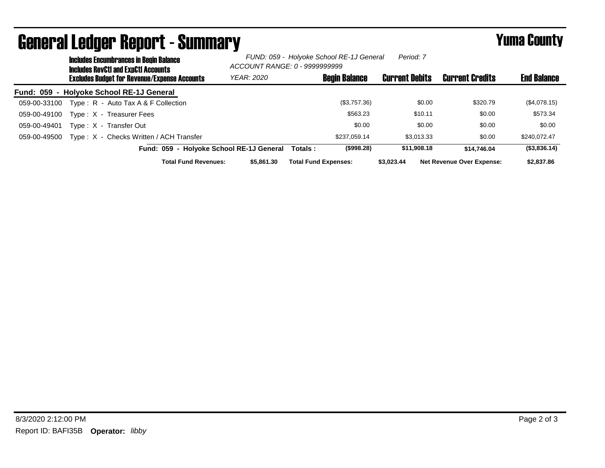| <u>achor en moegor mopor e</u><br><b>Includes Encumbrances in Begin Balance</b><br><b>Includes RevCtI and ExpCtI Accounts</b> | FUND: 059 - Holyoke School RE-1J General<br>Period: 7<br>ACCOUNT RANGE: 0 - 9999999999 |                             |                       |                                  |                    |  |
|-------------------------------------------------------------------------------------------------------------------------------|----------------------------------------------------------------------------------------|-----------------------------|-----------------------|----------------------------------|--------------------|--|
| <b>Excludes Budget for Revenue/Expense Accounts</b>                                                                           | <b>YEAR: 2020</b>                                                                      | <b>Begin Balance</b>        | <b>Current Debits</b> | <b>Current Credits</b>           | <b>End Balance</b> |  |
| Fund: 059 - Holyoke School RE-1J General                                                                                      |                                                                                        |                             |                       |                                  |                    |  |
| Type: R - Auto Tax A & F Collection<br>059-00-33100                                                                           |                                                                                        | (\$3,757.36)                | \$0.00                | \$320.79                         | (\$4,078.15)       |  |
| Type: X - Treasurer Fees<br>059-00-49100                                                                                      |                                                                                        | \$563.23                    | \$10.11               | \$0.00                           | \$573.34           |  |
| Type: X - Transfer Out<br>059-00-49401                                                                                        |                                                                                        | \$0.00                      | \$0.00                | \$0.00                           | \$0.00             |  |
| Type: X - Checks Written / ACH Transfer<br>059-00-49500                                                                       |                                                                                        | \$237.059.14                | \$3.013.33            | \$0.00                           | \$240.072.47       |  |
| Fund: 059 - Holyoke School RE-1J General                                                                                      |                                                                                        | (\$998.28)<br>Totals :      | \$11,908.18           | \$14.746.04                      | (\$3,836.14)       |  |
| <b>Total Fund Revenues:</b>                                                                                                   | \$5,861,30                                                                             | <b>Total Fund Expenses:</b> | \$3.023.44            | <b>Net Revenue Over Expense:</b> | \$2,837.86         |  |

## General Ledger Report - Summary **Figure 2016** Yuma County